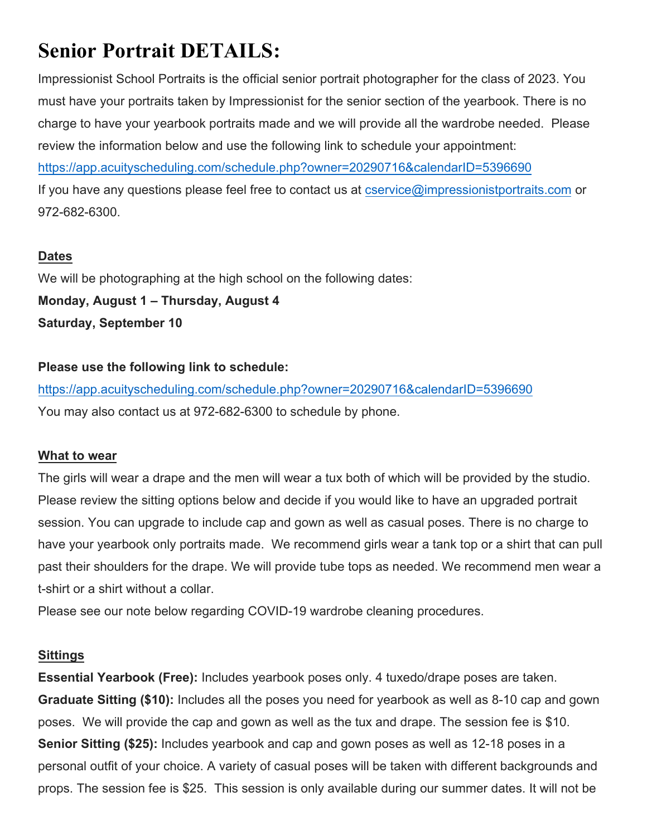# **Senior Portrait DETAILS:**

Impressionist School Portraits is the official senior portrait photographer for the class of 2023. You must have your portraits taken by Impressionist for the senior section of the yearbook. There is no charge to have your yearbook portraits made and we will provide all the wardrobe needed. Please review the information below and use the following link to schedule your appointment:

<https://app.acuityscheduling.com/schedule.php?owner=20290716&calendarID=5396690>

If you have any questions please feel free to contact us at [cservice@impressionistportraits.com](mailto:cservice@impressionistportraits.com) or 972-682-6300.

# **Dates**

We will be photographing at the high school on the following dates:

**Monday, August 1 – Thursday, August 4 Saturday, September 10**

## **Please use the following link to schedule:**

<https://app.acuityscheduling.com/schedule.php?owner=20290716&calendarID=5396690> You may also contact us at 972-682-6300 to schedule by phone.

# **What to wear**

The girls will wear a drape and the men will wear a tux both of which will be provided by the studio. Please review the sitting options below and decide if you would like to have an upgraded portrait session. You can upgrade to include cap and gown as well as casual poses. There is no charge to have your yearbook only portraits made. We recommend girls wear a tank top or a shirt that can pull past their shoulders for the drape. We will provide tube tops as needed. We recommend men wear a t-shirt or a shirt without a collar.

Please see our note below regarding COVID-19 wardrobe cleaning procedures.

# **Sittings**

**Essential Yearbook (Free):** Includes yearbook poses only. 4 tuxedo/drape poses are taken. **Graduate Sitting (\$10):** Includes all the poses you need for yearbook as well as 8-10 cap and gown poses. We will provide the cap and gown as well as the tux and drape. The session fee is \$10. **Senior Sitting (\$25):** Includes yearbook and cap and gown poses as well as 12-18 poses in a personal outfit of your choice. A variety of casual poses will be taken with different backgrounds and props. The session fee is \$25. This session is only available during our summer dates. It will not be